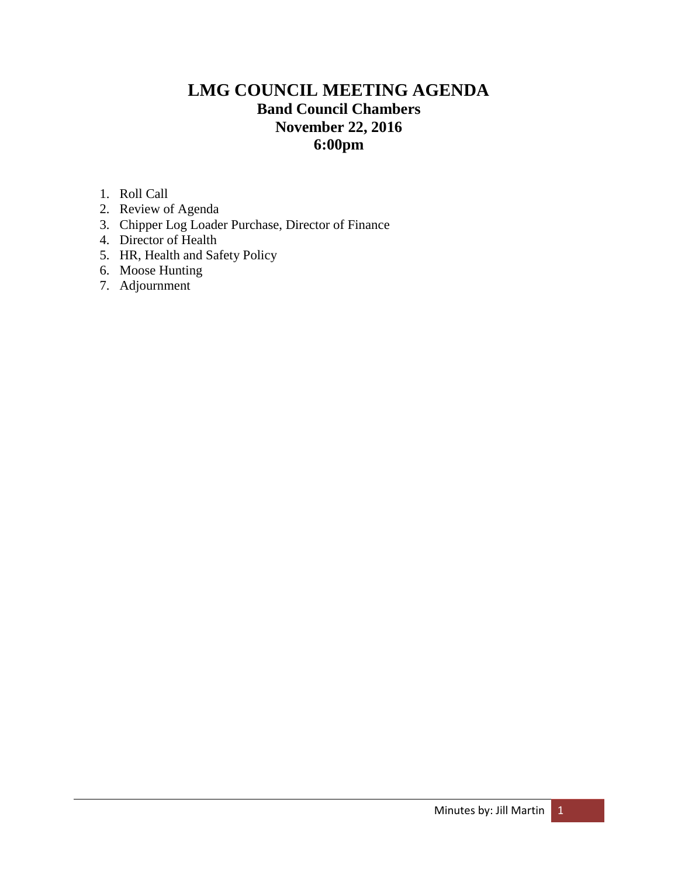# **LMG COUNCIL MEETING AGENDA Band Council Chambers November 22, 2016 6:00pm**

- 1. Roll Call
- 2. Review of Agenda
- 3. Chipper Log Loader Purchase, Director of Finance
- 4. Director of Health
- 5. HR, Health and Safety Policy
- 6. Moose Hunting
- 7. Adjournment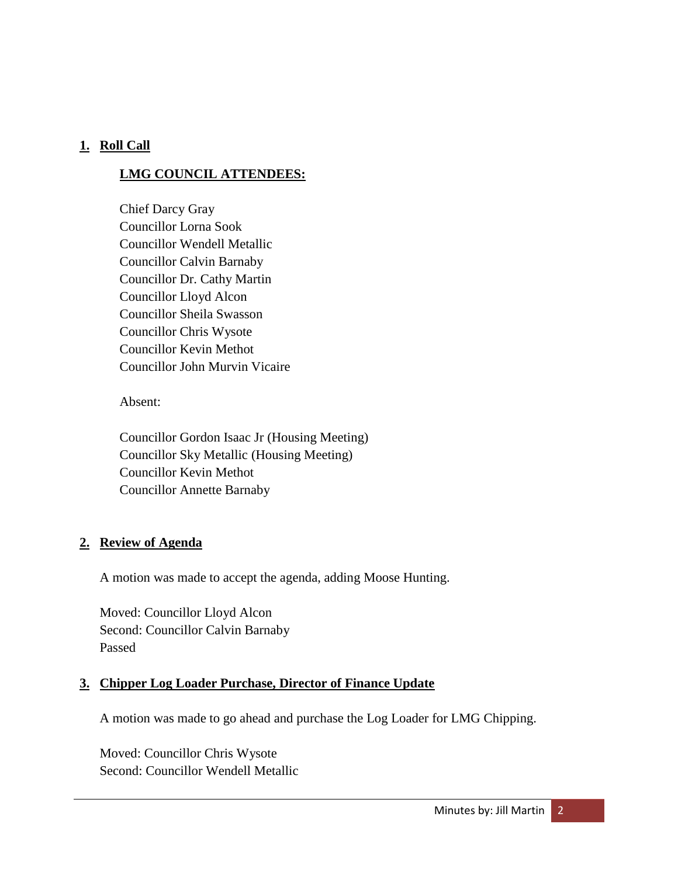## **1. Roll Call**

## **LMG COUNCIL ATTENDEES:**

Chief Darcy Gray Councillor Lorna Sook Councillor Wendell Metallic Councillor Calvin Barnaby Councillor Dr. Cathy Martin Councillor Lloyd Alcon Councillor Sheila Swasson Councillor Chris Wysote Councillor Kevin Methot Councillor John Murvin Vicaire

Absent:

Councillor Gordon Isaac Jr (Housing Meeting) Councillor Sky Metallic (Housing Meeting) Councillor Kevin Methot Councillor Annette Barnaby

#### **2. Review of Agenda**

A motion was made to accept the agenda, adding Moose Hunting.

Moved: Councillor Lloyd Alcon Second: Councillor Calvin Barnaby Passed

#### **3. Chipper Log Loader Purchase, Director of Finance Update**

A motion was made to go ahead and purchase the Log Loader for LMG Chipping.

Moved: Councillor Chris Wysote Second: Councillor Wendell Metallic